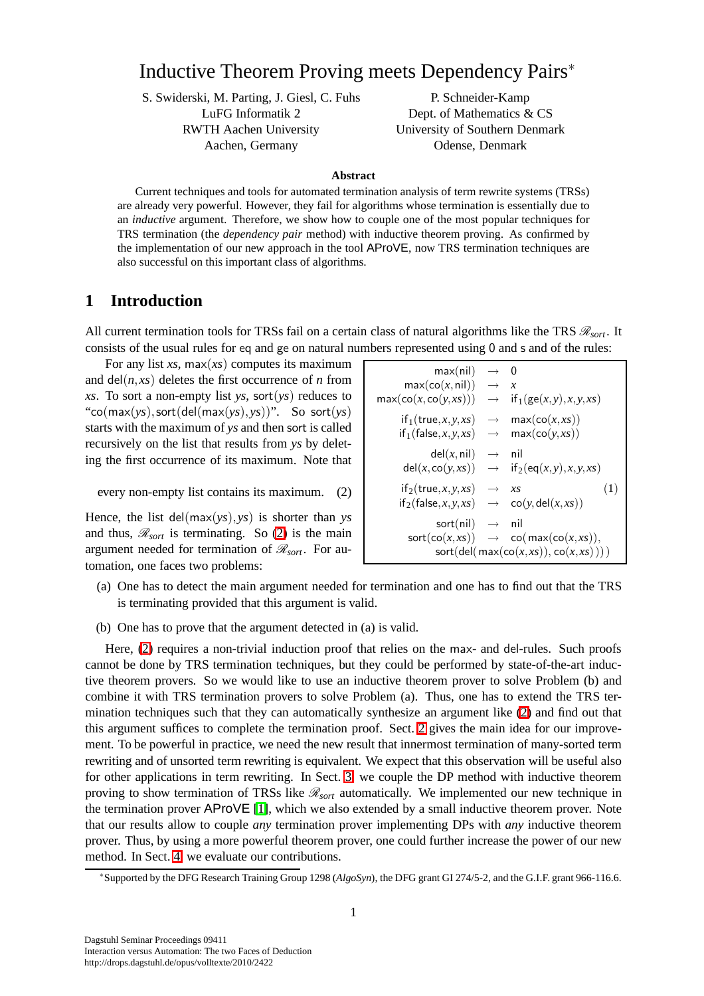# Inductive Theorem Proving meets Dependency Pairs<sup>∗</sup>

S. Swiderski, M. Parting, J. Giesl, C. Fuhs LuFG Informatik 2 RWTH Aachen University Aachen, Germany

P. Schneider-Kamp Dept. of Mathematics & CS University of Southern Denmark Odense, Denmark

#### **Abstract**

Current techniques and tools for automated termination analysis of term rewrite systems (TRSs) are already very powerful. However, they fail for algorithms whose termination is essentially due to an *inductive* argument. Therefore, we show how to couple one of the most popular techniques for TRS termination (the *dependency pair* method) with inductive theorem proving. As confirmed by the implementation of our new approach in the tool AProVE, now TRS termination techniques are also successful on this important class of algorithms.

### **1 Introduction**

All current termination tools for TRSs fail on a certain class of natural algorithms like the TRS  $\mathcal{R}_{sort}$ . It consists of the usual rules for eq and ge on natural numbers represented using 0 and s and of the rules:

For any list *xs*, max(*xs*) computes its maximum and  $del(n, xs)$  deletes the first occurrence of *n* from *xs*. To sort a non-empty list *ys*, sort(*ys*) reduces to "co(max(*ys*),sort(del(max(*ys*),*ys*))". So sort(*ys*) starts with the maximum of *ys* and then sort is called recursively on the list that results from *ys* by deleting the first occurrence of its maximum. Note that

every non-empty list contains its maximum. (2)

<span id="page-0-0"></span>Hence, the list del(max(*ys*),*ys*) is shorter than *ys* and thus,  $\mathcal{R}_{sort}$  is terminating. So [\(2\)](#page-0-0) is the main argument needed for termination of  $\mathcal{R}_{sort}$ . For automation, one faces two problems:

| max(nil)                              | $\rightarrow$     | $\mathbf{0}$                    |  |  |
|---------------------------------------|-------------------|---------------------------------|--|--|
| max(co(x, nil))                       | $\longrightarrow$ | $\boldsymbol{x}$                |  |  |
| $max(\text{co}(x, \text{co}(y, xs)))$ | $\longrightarrow$ | $if_1(ge(x,y),x,y,xs)$          |  |  |
| if <sub>1</sub> (true, x, y, xs)      | $\longrightarrow$ | max(co(x, xs))                  |  |  |
| if <sub>1</sub> (false, $x, y, xs$ )  | $\longrightarrow$ | max(co(y, xs))                  |  |  |
| del(x, nil)                           | $\longrightarrow$ | nil                             |  |  |
| del(x, co(y, xs))                     | $\longrightarrow$ | $if_2(eq(x,y),x,y,x)$           |  |  |
| $if_2(true, x, y, xs)$                | $\longrightarrow$ | (1)<br>$X_{S}$                  |  |  |
| $if_2(false, x, y, xs)$               | $\longrightarrow$ | co(y, del(x, xs))               |  |  |
| sort(nil)                             | $\longrightarrow$ | nil                             |  |  |
| $\mathsf{sort}(\mathsf{co}(x, xs))$   |                   | $\rightarrow$ co(max(co(x,xs)), |  |  |
| sort(del(max(co(x, xs)), co(x, xs)))  |                   |                                 |  |  |
|                                       |                   |                                 |  |  |

- (a) One has to detect the main argument needed for termination and one has to find out that the TRS is terminating provided that this argument is valid.
- (b) One has to prove that the argument detected in (a) is valid.

Here, [\(2\)](#page-0-0) requires a non-trivial induction proof that relies on the max- and del-rules. Such proofs cannot be done by TRS termination techniques, but they could be performed by state-of-the-art inductive theorem provers. So we would like to use an inductive theorem prover to solve Problem (b) and combine it with TRS termination provers to solve Problem (a). Thus, one has to extend the TRS termination techniques such that they can automatically synthesize an argument like [\(2\)](#page-0-0) and find out that this argument suffices to complete the termination proof. Sect. [2](#page-1-0) gives the main idea for our improvement. To be powerful in practice, we need the new result that innermost termination of many-sorted term rewriting and of unsorted term rewriting is equivalent. We expect that this observation will be useful also for other applications in term rewriting. In Sect. [3,](#page-2-0) we couple the DP method with inductive theorem proving to show termination of TRSs like R*sort* automatically. We implemented our new technique in the termination prover AProVE [\[1\]](#page-3-0), which we also extended by a small inductive theorem prover. Note that our results allow to couple *any* termination prover implementing DPs with *any* inductive theorem prover. Thus, by using a more powerful theorem prover, one could further increase the power of our new method. In Sect. [4,](#page-3-1) we evaluate our contributions.

<sup>∗</sup>Supported by the DFG Research Training Group 1298 (*AlgoSyn*), the DFG grant GI 274/5-2, and the G.I.F. grant 966-116.6.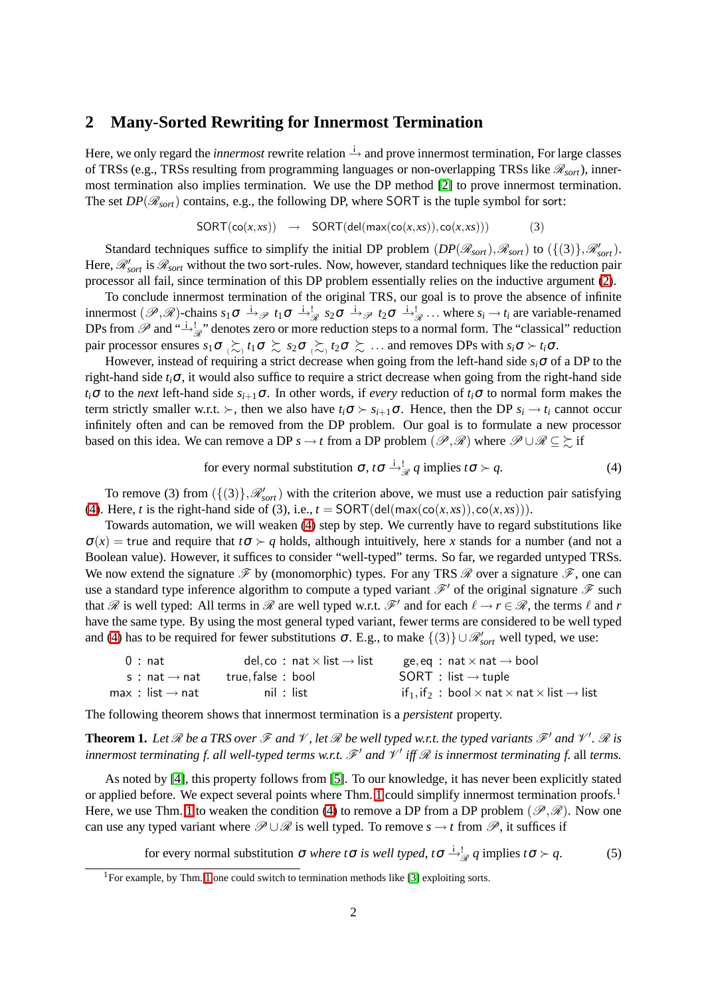### <span id="page-1-0"></span>**2 Many-Sorted Rewriting for Innermost Termination**

Here, we only regard the *innermost* rewrite relation  $\frac{1}{n}$  and prove innermost termination, For large classes of TRSs (e.g., TRSs resulting from programming languages or non-overlapping TRSs like  $\mathscr{R}_{sort}$ ), innermost termination also implies termination. We use the DP method [\[2\]](#page-3-2) to prove innermost termination. The set  $DP(\mathcal{R}_{sort})$  contains, e.g., the following DP, where SORT is the tuple symbol for sort:

$$
SORT(co(x, xs)) \rightarrow SORT(deI(max(co(x, xs)), co(x, xs))) \qquad (3)
$$

Standard techniques suffice to simplify the initial DP problem  $(DP(\mathcal{R}_{sort}), \mathcal{R}_{sort})$  to  $(\{(3)\}, \mathcal{R}_{sort}')$ . Here,  $\mathcal{R}_{sort}$  is  $\mathcal{R}_{sort}$  without the two sort-rules. Now, however, standard techniques like the reduction pair processor all fail, since termination of this DP problem essentially relies on the inductive argument [\(2\)](#page-0-0).

To conclude innermost termination of the original TRS, our goal is to prove the absence of infinite innermost  $(\mathscr{P}, \mathscr{R})$ -chains  $s_1 \sigma \stackrel{i}{\rightarrow} \mathscr{P} t_1 \sigma \stackrel{i}{\rightarrow} \mathscr{P} s_2 \sigma \stackrel{i}{\rightarrow} \mathscr{P} t_2 \sigma \stackrel{i}{\rightarrow} \mathscr{P} t_2 \ldots$  where  $s_i \rightarrow t_i$  are variable-renamed DPs from  $\mathscr P$  and  $\stackrel{i.i.d}{\to} \frac{1}{\mathscr R}$ " denotes zero or more reduction steps to a normal form. The "classical" reduction pair processor ensures  $s_1 \sigma \succsim t_1 \sigma \succsim s_2 \sigma \succsim t_2 \sigma \succsim \ldots$  and removes DPs with  $s_i \sigma \succ t_i \sigma$ .

However, instead of requiring a strict decrease when going from the left-hand side  $s_i\sigma$  of a DP to the right-hand side *ti*<sup>σ</sup>, it would also suffice to require a strict decrease when going from the right-hand side *ti*<sup>σ</sup> to the *next* left-hand side *si*+1<sup>σ</sup>. In other words, if *every* reduction of *ti*<sup>σ</sup> to normal form makes the term strictly smaller w.r.t. ≻, then we also have  $t_i \sigma \succ s_{i+1} \sigma$ . Hence, then the DP  $s_i \rightarrow t_i$  cannot occur infinitely often and can be removed from the DP problem. Our goal is to formulate a new processor based on this idea. We can remove a DP  $s \to t$  from a DP problem  $(\mathscr{P}, \mathscr{R})$  where  $\mathscr{P} \cup \mathscr{R} \subseteq \Sigma$  if

<span id="page-1-1"></span>for every normal substitution 
$$
\sigma
$$
,  $t\sigma \stackrel{i}{\rightarrow} q$  implies  $t\sigma > q$ . (4)

To remove (3) from  $(\{(3)\}, \mathcal{R}_{sort}^{\prime})$  with the criterion above, we must use a reduction pair satisfying [\(4\)](#page-1-1). Here, *t* is the right-hand side of (3), i.e.,  $t = \text{SORT}(\text{del}(\text{max}(\text{co}(x, xs)), \text{co}(x, xs))).$ 

Towards automation, we will weaken [\(4\)](#page-1-1) step by step. We currently have to regard substitutions like  $\sigma(x)$  = true and require that  $t\sigma > q$  holds, although intuitively, here x stands for a number (and not a Boolean value). However, it suffices to consider "well-typed" terms. So far, we regarded untyped TRSs. We now extend the signature  $\mathcal F$  by (monomorphic) types. For any TRS  $\mathcal R$  over a signature  $\mathcal F$ , one can use a standard type inference algorithm to compute a typed variant  $\mathcal{F}'$  of the original signature  $\mathcal F$  such that  $\mathscr R$  is well typed: All terms in  $\mathscr R$  are well typed w.r.t.  $\mathscr F'$  and for each  $\ell \to r \in \mathscr R$ , the terms  $\ell$  and  $r$ have the same type. By using the most general typed variant, fewer terms are considered to be well typed and [\(4\)](#page-1-1) has to be required for fewer substitutions  $\sigma$ . E.g., to make  $\{(3)\}\cup \mathcal{R}_{sort}$  well typed, we use:

| 0 : nat                                 | del, co $\,:\,$ nat $\times$ list $\rightarrow$ list | ge, eq $:$ <code>nat</code> $\times$ <code>nat</code> $\rightarrow$ <code>bool</code>               |
|-----------------------------------------|------------------------------------------------------|-----------------------------------------------------------------------------------------------------|
| s : nat $\rightarrow$ nat               | true, false : bool                                   | $SORT$ : list $\rightarrow$ tuple                                                                   |
| max $\,:\,$ list $\rightarrow$ nat $\,$ | nil : list                                           | if <sub>1</sub> , if <sub>2</sub> : bool $\times$ nat $\times$ nat $\times$ list $\rightarrow$ list |

<span id="page-1-2"></span>The following theorem shows that innermost termination is a *persistent* property.

**Theorem 1.** Let  $\Re$  be a TRS over  $\Im$  and  $\mathscr V$ , let  $\Re$  be well typed w.r.t. the typed variants  $\Im'$  and  $\mathscr V'$ .  $\Re$  is *innermost terminating f. all well-typed terms w.r.t.*  $\mathscr{F}'$  and  $\mathscr{V}'$  iff  $\mathscr{R}$  is innermost terminating f. all terms.

As noted by [\[4\]](#page-3-3), this property follows from [\[5\]](#page-3-4). To our knowledge, it has never been explicitly stated or applied before. We expect several points where Thm. [1](#page-1-2) could simplify innermost termination proofs.<sup>1</sup> Here, we use Thm. [1](#page-1-2) to weaken the condition [\(4\)](#page-1-1) to remove a DP from a DP problem ( $\mathscr{P}, \mathscr{R}$ ). Now one can use any typed variant where  $\mathscr{P} \cup \mathscr{R}$  is well typed. To remove  $s \to t$  from  $\mathscr{P}$ , it suffices if

<span id="page-1-3"></span>for every normal substitution  $\sigma$  *where t* $\sigma$  *is well typed*,  $t\sigma \stackrel{i}{\rightarrow} q$  implies  $t\sigma \succ q$ . (5)

<sup>&</sup>lt;sup>1</sup>For example, by Thm. [1](#page-1-2) one could switch to termination methods like [\[3\]](#page-3-5) exploiting sorts.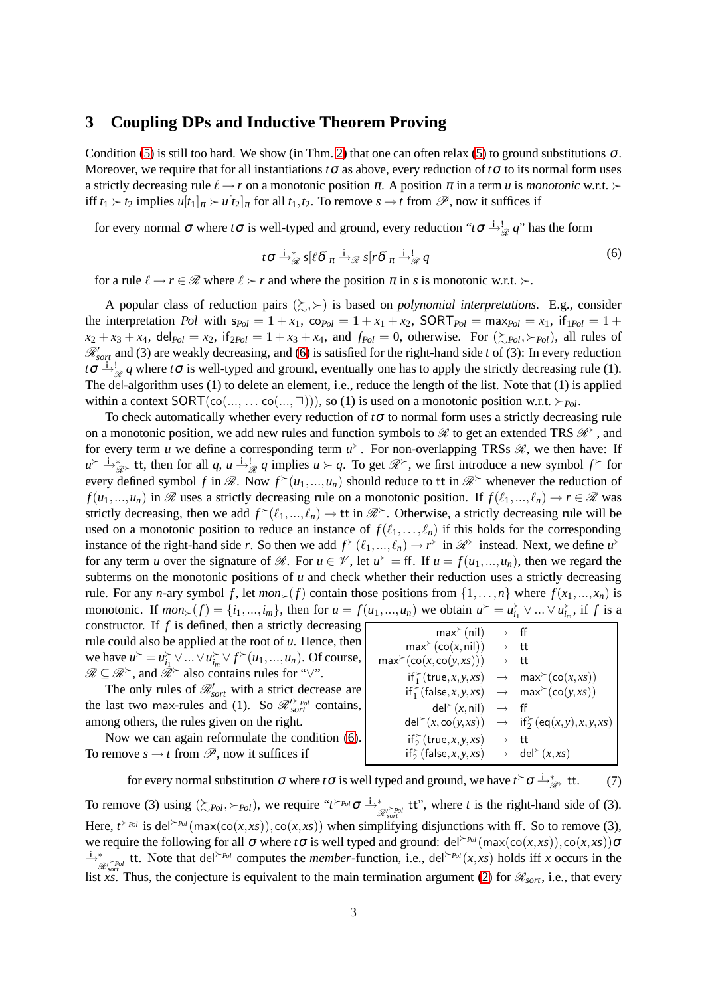## <span id="page-2-0"></span>**3 Coupling DPs and Inductive Theorem Proving**

Condition [\(5\)](#page-1-3) is still too hard. We show (in Thm. [2\)](#page-3-6) that one can often relax [\(5\)](#page-1-3) to ground substitutions  $\sigma$ . Moreover, we require that for all instantiations  $t\sigma$  as above, every reduction of  $t\sigma$  to its normal form uses a strictly decreasing rule  $\ell \rightarrow r$  on a monotonic position  $\pi$ . A position  $\pi$  in a term *u* is *monotonic* w.r.t. ≻ iff  $t_1 \succ t_2$  implies  $u[t_1]_\pi \succ u[t_2]_\pi$  for all  $t_1, t_2$ . To remove  $s \to t$  from  $\mathscr{P}$ , now it suffices if

for every normal σ where *t*σ is well-typed and ground, every reduction "*t*σ  $\dot{A}$   $\dot{B}$  *q*" has the form

<span id="page-2-1"></span>
$$
t\sigma \stackrel{\cdot}{\rightarrow}^*_{\mathscr{R}} s[\ell \delta]_{\pi} \stackrel{\cdot}{\rightarrow}^*_{\mathscr{R}} s[r\delta]_{\pi} \stackrel{\cdot}{\rightarrow}^!_{\mathscr{R}} q \tag{6}
$$

for a rule  $\ell \to r \in \mathcal{R}$  where  $\ell \succ r$  and where the position  $\pi$  in *s* is monotonic w.r.t. ≻.

A popular class of reduction pairs  $(\succsim, \succ)$  is based on *polynomial interpretations*. E.g., consider the interpretation *Pol* with  $s_{Pol} = 1 + x_1$ ,  $\text{co}_{Pol} = 1 + x_1 + x_2$ ,  $\text{SORT}_{Pol} = \text{max}_{Pol} = x_1$ , if  $p_{ol} = 1 + x_1$  $x_2 + x_3 + x_4$ , del $P_{ol} = x_2$ , if  $p_{ol} = 1 + x_3 + x_4$ , and  $f_{pol} = 0$ , otherwise. For  $(\sum_{Pol} \rightarrow_{Pol})$ , all rules of R′ *sort* and (3) are weakly decreasing, and [\(6\)](#page-2-1) is satisfied for the right-hand side *t* of (3): In every reduction  $t\sigma \stackrel{\text{def}}{\rightarrow} \frac{1}{\mathcal{R}} q$  where  $t\sigma$  is well-typed and ground, eventually one has to apply the strictly decreasing rule (1). The del-algorithm uses (1) to delete an element, i.e., reduce the length of the list. Note that (1) is applied within a context  $SORT(\text{co}(..., ... \text{co}(..., \square)))$ , so (1) is used on a monotonic position w.r.t. ≻*Pol*.

To check automatically whether every reduction of  $t\sigma$  to normal form uses a strictly decreasing rule on a monotonic position, we add new rules and function symbols to  $\mathcal R$  to get an extended TRS  $\mathcal R^*$ , and for every term *u* we define a corresponding term  $u^{\succ}$ . For non-overlapping TRSs  $\mathcal{R}$ , we then have: If  $u \nightharpoonup \rightarrow_{\mathcal{R}}^*$  tt, then for all *q*,  $u \stackrel{\perp}{\rightarrow}_{\mathcal{R}}^* q$  implies  $u \succ q$ . To get  $\mathcal{R}^*$ , we first introduce a new symbol  $f^{\succ}$  for every defined symbol *f* in  $\mathscr{R}$ . Now  $f^{\succ}(u_1,...,u_n)$  should reduce to tt in  $\mathscr{R}^{\succ}$  whenever the reduction of  $f(u_1,...,u_n)$  in  $\mathscr R$  uses a strictly decreasing rule on a monotonic position. If  $f(\ell_1,...,\ell_n) \to r \in \mathscr R$  was strictly decreasing, then we add  $f^{\succ}(\ell_1,...,\ell_n) \to \text{tt}$  in  $\mathcal{R}^{\succ}$ . Otherwise, a strictly decreasing rule will be used on a monotonic position to reduce an instance of  $f(\ell_1,\ldots,\ell_n)$  if this holds for the corresponding instance of the right-hand side *r*. So then we add  $f^*(\ell_1,...,\ell_n) \to r^{\succ}$  in  $\mathcal{R}^{\succ}$  instead. Next, we define  $u^{\succ}$ for any term *u* over the signature of  $\mathcal{R}$ . For  $u \in \mathcal{V}$ , let  $u^{\succ} = \text{ff}$ . If  $u = f(u_1, ..., u_n)$ , then we regard the subterms on the monotonic positions of *u* and check whether their reduction uses a strictly decreasing rule. For any *n*-ary symbol *f*, let  $mon_{\succ}(f)$  contain those positions from  $\{1,\ldots,n\}$  where  $f(x_1,...,x_n)$  is monotonic. If  $mon_{\succ}(f) = \{i_1, ..., i_m\}$ , then for  $u = f(u_1, ..., u_n)$  we obtain  $u^{\succ} = u_{i_1}^{\succ} \vee ... \vee u_{i_m}^{\succ}$ , if f is a constructor. If  $f$  is defined, then a strictly decreasing

rule could also be applied at the root of *u*. Hence, then we have  $u^{\succ} = u_{i_1}^{\succ} \vee ... \vee u_{i_m}^{\succ} \vee f^{\succ}(u_1,...,u_n)$ . Of course,  $\mathscr{R} \subseteq \mathscr{R}^{\succ}$ , and  $\mathscr{R}^{\succ}$  also contains rules for " $\vee$ ".

The only rules of  $\mathcal{R}'_{sort}$  with a strict decrease are the last two max-rules and (1). So  $\mathcal{R}'_{sort}$  contains, among others, the rules given on the right.

Now we can again reformulate the condition [\(6\)](#page-2-1). To remove  $s \to t$  from  $\mathscr{P}$ , now it suffices if

| max <sup>&gt;</sup> (nil)                                          | $\rightarrow$     | ff                                            |
|--------------------------------------------------------------------|-------------------|-----------------------------------------------|
| $\max^{\succ}(\textsf{co}(x, \textsf{nil}))$                       | $\longrightarrow$ | tt                                            |
| max <sup>&gt;(</sup> co(x, co(y, xs)))                             | $\rightarrow$     | tt.                                           |
| $if_1^{\succ}(true, x, y, xs) \rightarrow max^{\succ}(co(x, xs))$  |                   |                                               |
| $if_1^{\succ}(false, x, y, xs) \rightarrow max^{\succ}(co(y, xs))$ |                   |                                               |
| $del^>(x, nil)$                                                    | $\rightarrow$     | -ff                                           |
| $del^>(x, co(y, xs))$                                              |                   | $\rightarrow$ if $\zeta$ (eq(x, y), x, y, xs) |
| $if_2^*(true, x, y, xs)$                                           | $\rightarrow$     | tt                                            |
| $if_2^{\succ}(false, x, y, xs) \rightarrow del^{\succ}(x, xs)$     |                   |                                               |
|                                                                    |                   |                                               |

<span id="page-2-2"></span>for every normal substitution  $\sigma$  where *t*  $\sigma$  is well typed and ground, we have  $t \circ \sigma \stackrel{i}{\rightarrow}^*_{\mathscr{R}^{\succ}}$  tt. (7)

To remove (3) using  $(\succsim_{Pol}, \succ_{Pol})$ , we require " $t \succ_{Pol} \sigma \stackrel{i}{\rightarrow}_{\mathcal{R}'_{sort}} t$ ", where *t* is the right-hand side of (3). Here,  $t \rightarrow Pol$  is del $\rightarrow Pol$  (max(co(*x*,*xs*)),co(*x*,*xs*)) when simplifying disjunctions with ff. So to remove (3), we require the following for all σ where *t*σ is well typed and ground: del<sup> $>PoI$ </sup>(max(co(*x*,*xs*)),co(*x*,*xs*))σ  $\frac{1}{\mathcal{R}_{soft}^*}$  tt. Note that del<sup> $\succ_{Pol}$ </sup> computes the *member*-function, i.e., del<sup> $\succ_{Pol}(x, xs)$  holds iff *x* occurs in the</sup> list *xs*. Thus, the conjecture is equivalent to the main termination argument [\(2\)](#page-0-0) for  $\mathcal{R}_{sort}$ , i.e., that every